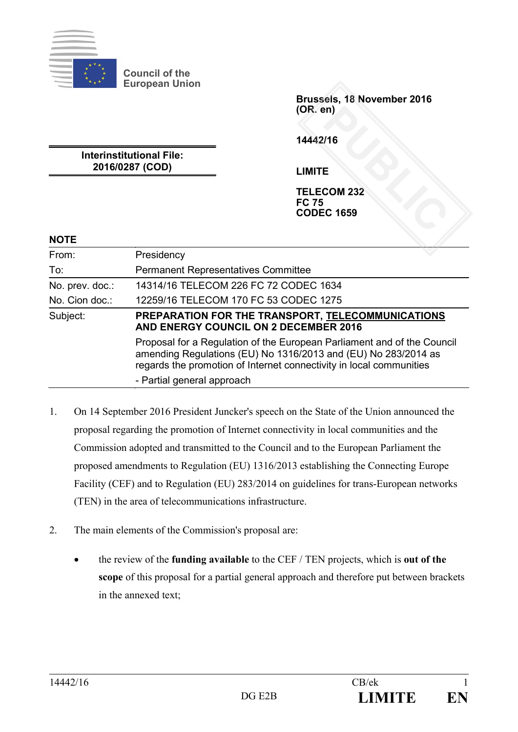

**Council of the European Union**

> **Brussels, 18 November 2016 (OR. en)**

**14442/16**

**Interinstitutional File: 2016/0287 (COD)**

**LIMITE**

**TELECOM 232 FC 75 CODEC 1659**  PD<br>
PUBLIC<br> **PUBLIC 1659** 

#### **NOTE**

| From:           | Presidency                                                                                                                                                                                                       |
|-----------------|------------------------------------------------------------------------------------------------------------------------------------------------------------------------------------------------------------------|
| To:             | <b>Permanent Representatives Committee</b>                                                                                                                                                                       |
| No. prev. doc.: | 14314/16 TELECOM 226 FC 72 CODEC 1634                                                                                                                                                                            |
| No. Cion doc.:  | 12259/16 TELECOM 170 FC 53 CODEC 1275                                                                                                                                                                            |
| Subject:        | PREPARATION FOR THE TRANSPORT, TELECOMMUNICATIONS<br>AND ENERGY COUNCIL ON 2 DECEMBER 2016                                                                                                                       |
|                 | Proposal for a Regulation of the European Parliament and of the Council<br>amending Regulations (EU) No 1316/2013 and (EU) No 283/2014 as<br>regards the promotion of Internet connectivity in local communities |
|                 | - Partial general approach                                                                                                                                                                                       |

- 1. On 14 September 2016 President Juncker's speech on the State of the Union announced the proposal regarding the promotion of Internet connectivity in local communities and the Commission adopted and transmitted to the Council and to the European Parliament the proposed amendments to Regulation (EU) 1316/2013 establishing the Connecting Europe Facility (CEF) and to Regulation (EU) 283/2014 on guidelines for trans-European networks (TEN) in the area of telecommunications infrastructure.
- 2. The main elements of the Commission's proposal are:
	- the review of the **funding available** to the CEF / TEN projects, which is **out of the scope** of this proposal for a partial general approach and therefore put between brackets in the annexed text;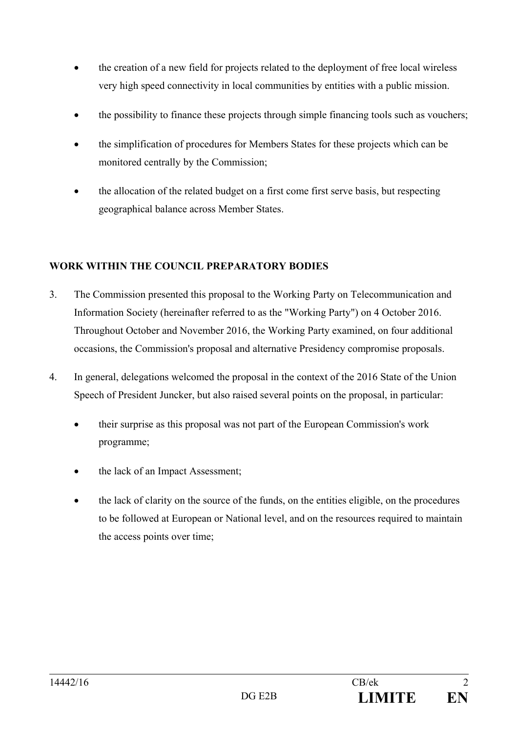- the creation of a new field for projects related to the deployment of free local wireless very high speed connectivity in local communities by entities with a public mission.
- the possibility to finance these projects through simple financing tools such as vouchers;
- the simplification of procedures for Members States for these projects which can be monitored centrally by the Commission;
- the allocation of the related budget on a first come first serve basis, but respecting geographical balance across Member States.

## **WORK WITHIN THE COUNCIL PREPARATORY BODIES**

- 3. The Commission presented this proposal to the Working Party on Telecommunication and Information Society (hereinafter referred to as the "Working Party") on 4 October 2016. Throughout October and November 2016, the Working Party examined, on four additional occasions, the Commission's proposal and alternative Presidency compromise proposals.
- 4. In general, delegations welcomed the proposal in the context of the 2016 State of the Union Speech of President Juncker, but also raised several points on the proposal, in particular:
	- their surprise as this proposal was not part of the European Commission's work programme;
	- the lack of an Impact Assessment;
	- the lack of clarity on the source of the funds, on the entities eligible, on the procedures to be followed at European or National level, and on the resources required to maintain the access points over time;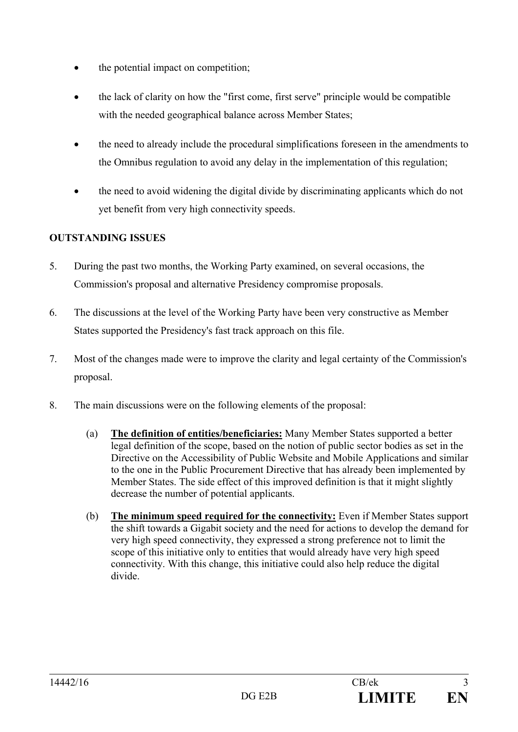- the potential impact on competition;
- the lack of clarity on how the "first come, first serve" principle would be compatible with the needed geographical balance across Member States;
- the need to already include the procedural simplifications foreseen in the amendments to the Omnibus regulation to avoid any delay in the implementation of this regulation;
- the need to avoid widening the digital divide by discriminating applicants which do not yet benefit from very high connectivity speeds.

## **OUTSTANDING ISSUES**

- 5. During the past two months, the Working Party examined, on several occasions, the Commission's proposal and alternative Presidency compromise proposals.
- 6. The discussions at the level of the Working Party have been very constructive as Member States supported the Presidency's fast track approach on this file.
- 7. Most of the changes made were to improve the clarity and legal certainty of the Commission's proposal.
- 8. The main discussions were on the following elements of the proposal:
	- (a) **The definition of entities/beneficiaries:** Many Member States supported a better legal definition of the scope, based on the notion of public sector bodies as set in the Directive on the Accessibility of Public Website and Mobile Applications and similar to the one in the Public Procurement Directive that has already been implemented by Member States. The side effect of this improved definition is that it might slightly decrease the number of potential applicants.
	- (b) **The minimum speed required for the connectivity:** Even if Member States support the shift towards a Gigabit society and the need for actions to develop the demand for very high speed connectivity, they expressed a strong preference not to limit the scope of this initiative only to entities that would already have very high speed connectivity. With this change, this initiative could also help reduce the digital divide.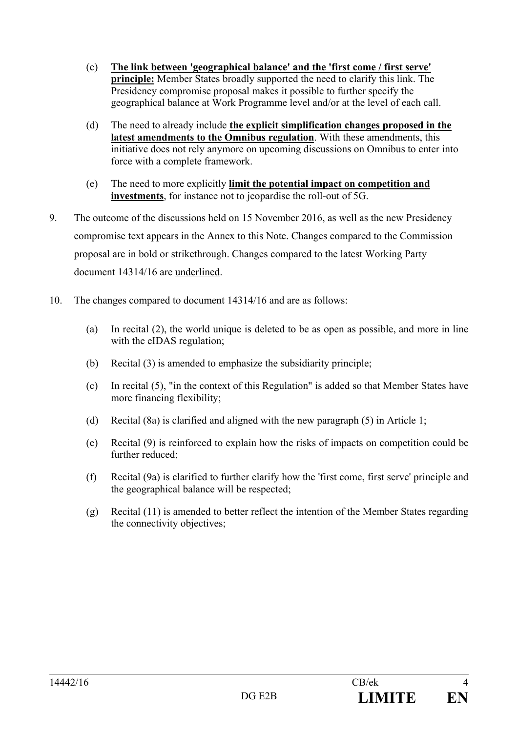- (c) **The link between 'geographical balance' and the 'first come / first serve' principle:** Member States broadly supported the need to clarify this link. The Presidency compromise proposal makes it possible to further specify the geographical balance at Work Programme level and/or at the level of each call.
- (d) The need to already include **the explicit simplification changes proposed in the latest amendments to the Omnibus regulation**. With these amendments, this initiative does not rely anymore on upcoming discussions on Omnibus to enter into force with a complete framework.
- (e) The need to more explicitly **limit the potential impact on competition and investments**, for instance not to jeopardise the roll-out of 5G.
- 9. The outcome of the discussions held on 15 November 2016, as well as the new Presidency compromise text appears in the Annex to this Note. Changes compared to the Commission proposal are in bold or strikethrough. Changes compared to the latest Working Party document 14314/16 are underlined.
- 10. The changes compared to document 14314/16 and are as follows:
	- (a) In recital (2), the world unique is deleted to be as open as possible, and more in line with the eIDAS regulation:
	- (b) Recital (3) is amended to emphasize the subsidiarity principle;
	- (c) In recital (5), "in the context of this Regulation" is added so that Member States have more financing flexibility;
	- (d) Recital (8a) is clarified and aligned with the new paragraph (5) in Article 1;
	- (e) Recital (9) is reinforced to explain how the risks of impacts on competition could be further reduced;
	- (f) Recital (9a) is clarified to further clarify how the 'first come, first serve' principle and the geographical balance will be respected;
	- (g) Recital (11) is amended to better reflect the intention of the Member States regarding the connectivity objectives;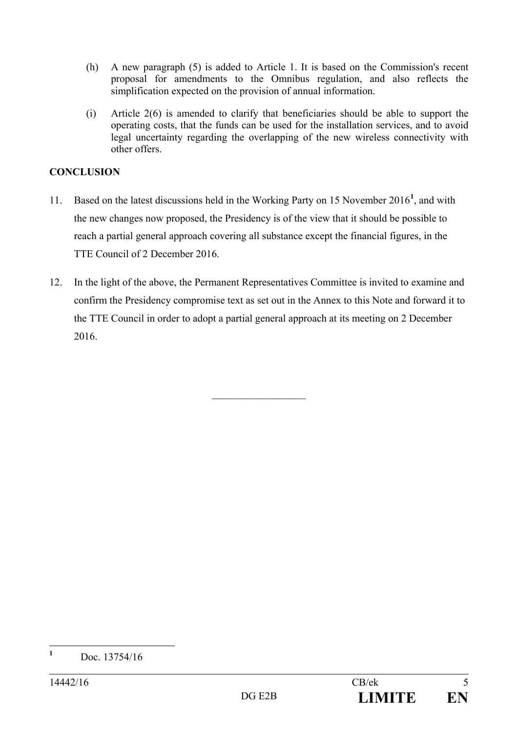- (h) A new paragraph (5) is added to Article 1. It is based on the Commission's recent proposal for amendments to the Omnibus regulation, and also reflects the simplification expected on the provision of annual information.
- (i) Article 2(6) is amended to clarify that beneficiaries should be able to support the operating costs, that the funds can be used for the installation services, and to avoid legal uncertainty regarding the overlapping of the new wireless connectivity with other offers.

## **CONCLUSION**

- 11. Based on the latest discussions held in the Working Party on 15 November 2016**[1](#page-4-0)** , and with the new changes now proposed, the Presidency is of the view that it should be possible to reach a partial general approach covering all substance except the financial figures, in the TTE Council of 2 December 2016.
- 12. In the light of the above, the Permanent Representatives Committee is invited to examine and confirm the Presidency compromise text as set out in the Annex to this Note and forward it to the TTE Council in order to adopt a partial general approach at its meeting on 2 December 2016.

 $\mathcal{L}$  , we have the set of the set of the set of the set of the set of the set of the set of the set of the set of the set of the set of the set of the set of the set of the set of the set of the set of the set of the

<span id="page-4-0"></span>**<sup>1</sup>** Doc. 13754/16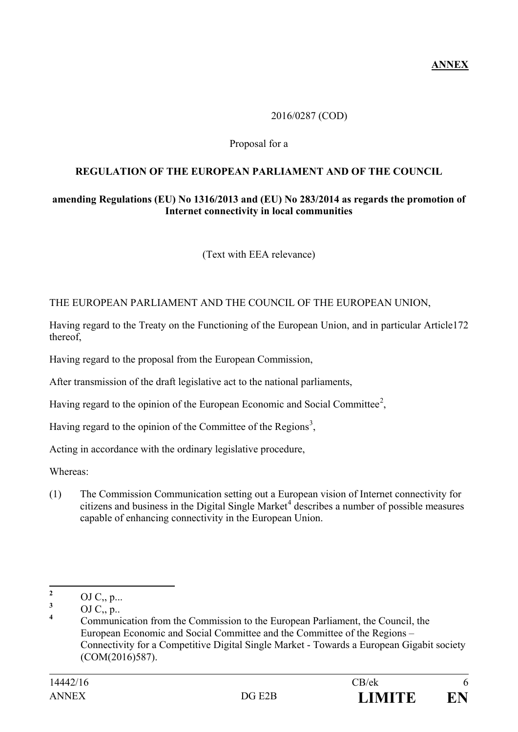**ANNEX**

### 2016/0287 (COD)

#### Proposal for a

### **REGULATION OF THE EUROPEAN PARLIAMENT AND OF THE COUNCIL**

### **amending Regulations (EU) No 1316/2013 and (EU) No 283/2014 as regards the promotion of Internet connectivity in local communities**

(Text with EEA relevance)

#### THE EUROPEAN PARLIAMENT AND THE COUNCIL OF THE EUROPEAN UNION,

Having regard to the Treaty on the Functioning of the European Union, and in particular Article172 thereof,

Having regard to the proposal from the European Commission,

After transmission of the draft legislative act to the national parliaments,

Having regard to the opinion of the European Economic and Social Committee<sup>[2](#page-5-0)</sup>,

Having regard to the opinion of the Committee of the Regions<sup>[3](#page-5-1)</sup>,

Acting in accordance with the ordinary legislative procedure,

Whereas:

(1) The Commission Communication setting out a European vision of Internet connectivity for citizens and business in the Digital Single Market<sup>[4](#page-5-2)</sup> describes a number of possible measures capable of enhancing connectivity in the European Union.

<span id="page-5-0"></span>**<sup>2</sup>** OJ C<sub>2</sub>, p...

<span id="page-5-1"></span> $\frac{3}{4}$  OJ C<sub>2</sub>, p..

<span id="page-5-2"></span>**<sup>4</sup>** Communication from the Commission to the European Parliament, the Council, the European Economic and Social Committee and the Committee of the Regions – Connectivity for a Competitive Digital Single Market - Towards a European Gigabit society (COM(2016)587).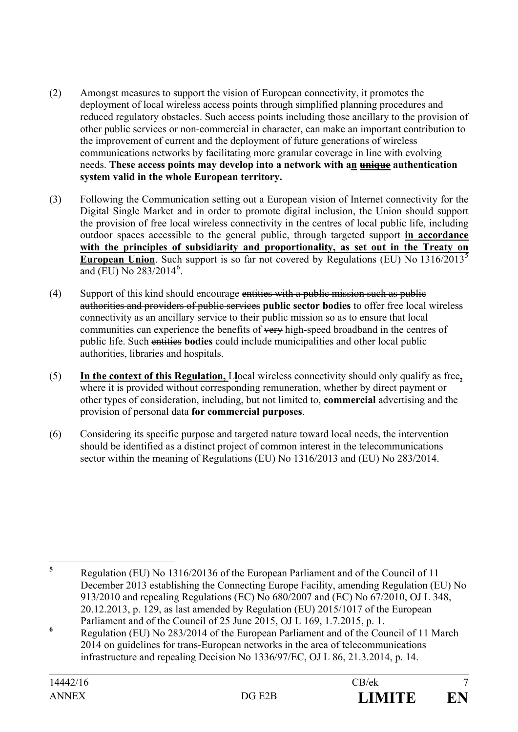- (2) Amongst measures to support the vision of European connectivity, it promotes the deployment of local wireless access points through simplified planning procedures and reduced regulatory obstacles. Such access points including those ancillary to the provision of other public services or non-commercial in character, can make an important contribution to the improvement of current and the deployment of future generations of wireless communications networks by facilitating more granular coverage in line with evolving needs. **These access points may develop into a network with an unique authentication system valid in the whole European territory.**
- (3) Following the Communication setting out a European vision of Internet connectivity for the Digital Single Market and in order to promote digital inclusion, the Union should support the provision of free local wireless connectivity in the centres of local public life, including outdoor spaces accessible to the general public, through targeted support **in accordance with the principles of subsidiarity and proportionality, as set out in the Treaty on European Union.** Such support is so far not covered by Regulations (EU) No 1316/2013<sup>[5](#page-6-0)</sup> and (EU) No 283/2014<sup>[6](#page-6-1)</sup>.
- (4) Support of this kind should encourage entities with a public mission such as public authorities and providers of public services **public sector bodies** to offer free local wireless connectivity as an ancillary service to their public mission so as to ensure that local communities can experience the benefits of very high-speed broadband in the centres of public life. Such entities **bodies** could include municipalities and other local public authorities, libraries and hospitals.
- (5) **In the context of this Regulation,** L**l**ocal wireless connectivity should only qualify as free**,**  where it is provided without corresponding remuneration, whether by direct payment or other types of consideration, including, but not limited to, **commercial** advertising and the provision of personal data **for commercial purposes**.
- (6) Considering its specific purpose and targeted nature toward local needs, the intervention should be identified as a distinct project of common interest in the telecommunications sector within the meaning of Regulations (EU) No 1316/2013 and (EU) No 283/2014.

<span id="page-6-0"></span>**<sup>5</sup>** Regulation (EU) No 1316/20136 of the European Parliament and of the Council of 11 December 2013 establishing the Connecting Europe Facility, amending Regulation (EU) No 913/2010 and repealing Regulations (EC) No 680/2007 and (EC) No 67/2010, OJ L 348, 20.12.2013, p. 129, as last amended by Regulation (EU) 2015/1017 of the European Parliament and of the Council of 25 June 2015, OJ L 169, 1.7.2015, p. 1.

<span id="page-6-1"></span>**<sup>6</sup>** Regulation (EU) No 283/2014 of the European Parliament and of the Council of 11 March 2014 on guidelines for trans-European networks in the area of telecommunications infrastructure and repealing Decision No 1336/97/EC, OJ L 86, 21.3.2014, p. 14.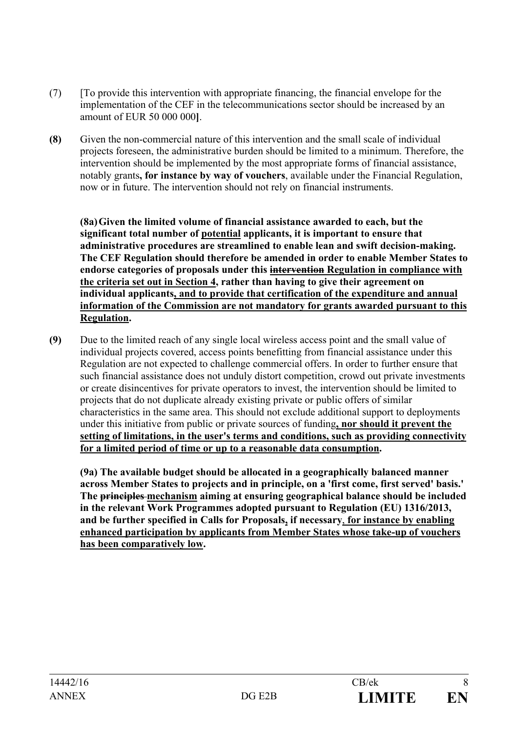- (7) [To provide this intervention with appropriate financing, the financial envelope for the implementation of the CEF in the telecommunications sector should be increased by an amount of EUR 50 000 000**]**.
- **(8)** Given the non-commercial nature of this intervention and the small scale of individual projects foreseen, the administrative burden should be limited to a minimum. Therefore, the intervention should be implemented by the most appropriate forms of financial assistance, notably grants**, for instance by way of vouchers**, available under the Financial Regulation, now or in future. The intervention should not rely on financial instruments.

**(8a)Given the limited volume of financial assistance awarded to each, but the significant total number of potential applicants, it is important to ensure that administrative procedures are streamlined to enable lean and swift decision-making. The CEF Regulation should therefore be amended in order to enable Member States to endorse categories of proposals under this intervention Regulation in compliance with the criteria set out in Section 4, rather than having to give their agreement on individual applicants, and to provide that certification of the expenditure and annual information of the Commission are not mandatory for grants awarded pursuant to this Regulation.**

**(9)** Due to the limited reach of any single local wireless access point and the small value of individual projects covered, access points benefitting from financial assistance under this Regulation are not expected to challenge commercial offers. In order to further ensure that such financial assistance does not unduly distort competition, crowd out private investments or create disincentives for private operators to invest, the intervention should be limited to projects that do not duplicate already existing private or public offers of similar characteristics in the same area. This should not exclude additional support to deployments under this initiative from public or private sources of funding**, nor should it prevent the setting of limitations, in the user's terms and conditions, such as providing connectivity for a limited period of time or up to a reasonable data consumption.**

**(9a) The available budget should be allocated in a geographically balanced manner across Member States to projects and in principle, on a 'first come, first served' basis.' The principles mechanism aiming at ensuring geographical balance should be included in the relevant Work Programmes adopted pursuant to Regulation (EU) 1316/2013, and be further specified in Calls for Proposals, if necessary**, **for instance by enabling enhanced participation by applicants from Member States whose take-up of vouchers has been comparatively low.**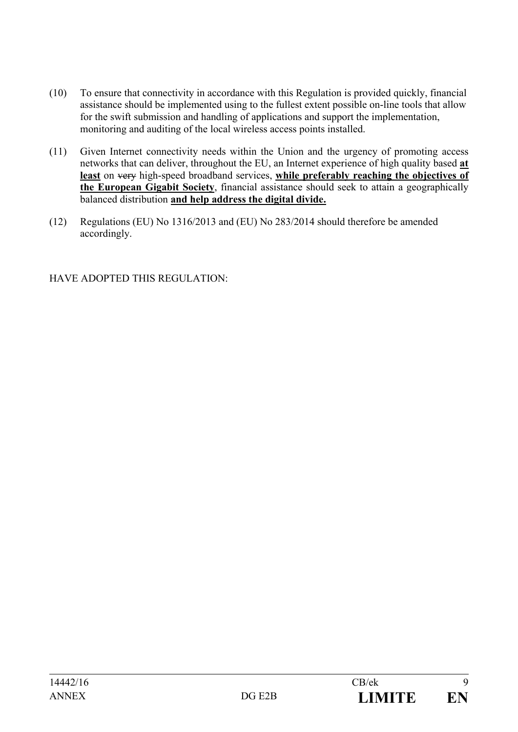- (10) To ensure that connectivity in accordance with this Regulation is provided quickly, financial assistance should be implemented using to the fullest extent possible on-line tools that allow for the swift submission and handling of applications and support the implementation, monitoring and auditing of the local wireless access points installed.
- (11) Given Internet connectivity needs within the Union and the urgency of promoting access networks that can deliver, throughout the EU, an Internet experience of high quality based **at least** on very high-speed broadband services, **while preferably reaching the objectives of the European Gigabit Society**, financial assistance should seek to attain a geographically balanced distribution **and help address the digital divide.**
- (12) Regulations (EU) No 1316/2013 and (EU) No 283/2014 should therefore be amended accordingly.

# HAVE ADOPTED THIS REGULATION: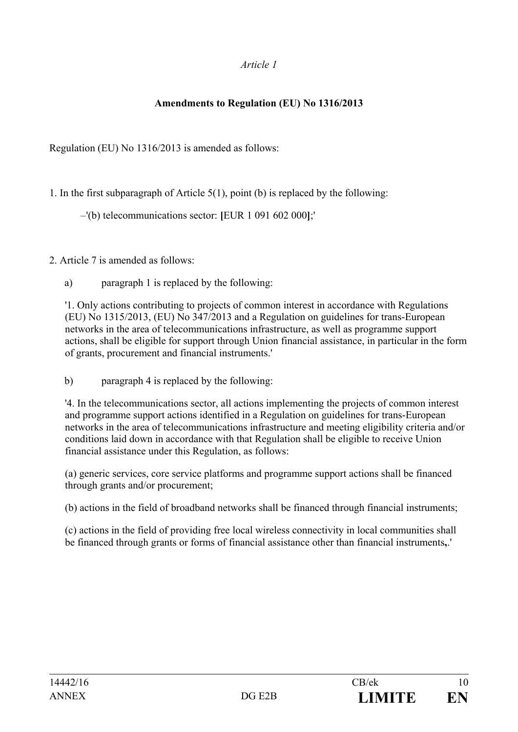## *Article 1*

## **Amendments to Regulation (EU) No 1316/2013**

Regulation (EU) No 1316/2013 is amended as follows:

1. In the first subparagraph of Article 5(1), point (b) is replaced by the following:

–'(b) telecommunications sector: **[**EUR 1 091 602 000**]**;'

2. Article 7 is amended as follows:

a) paragraph 1 is replaced by the following:

'1. Only actions contributing to projects of common interest in accordance with Regulations (EU) No 1315/2013, (EU) No 347/2013 and a Regulation on guidelines for trans-European networks in the area of telecommunications infrastructure, as well as programme support actions, shall be eligible for support through Union financial assistance, in particular in the form of grants, procurement and financial instruments.'

b) paragraph 4 is replaced by the following:

'4. In the telecommunications sector, all actions implementing the projects of common interest and programme support actions identified in a Regulation on guidelines for trans-European networks in the area of telecommunications infrastructure and meeting eligibility criteria and/or conditions laid down in accordance with that Regulation shall be eligible to receive Union financial assistance under this Regulation, as follows:

(a) generic services, core service platforms and programme support actions shall be financed through grants and/or procurement;

(b) actions in the field of broadband networks shall be financed through financial instruments;

(c) actions in the field of providing free local wireless connectivity in local communities shall be financed through grants or forms of financial assistance other than financial instruments**,**.'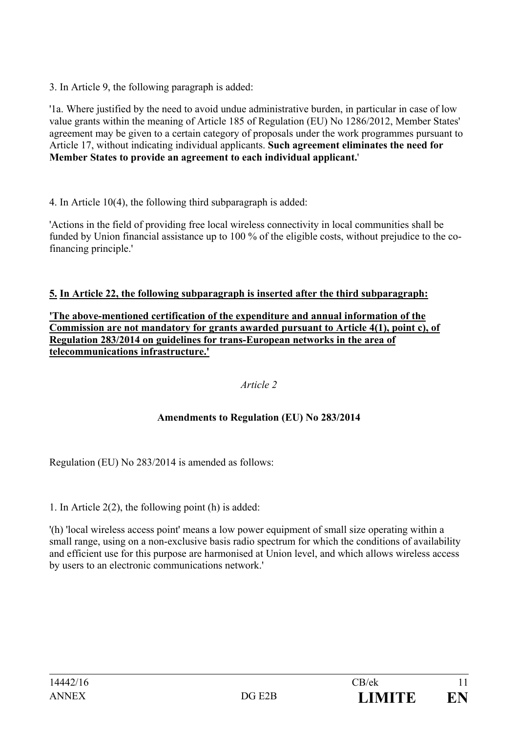3. In Article 9, the following paragraph is added:

'1a. Where justified by the need to avoid undue administrative burden, in particular in case of low value grants within the meaning of Article 185 of Regulation (EU) No 1286/2012, Member States' agreement may be given to a certain category of proposals under the work programmes pursuant to Article 17, without indicating individual applicants. **Such agreement eliminates the need for Member States to provide an agreement to each individual applicant.**'

4. In Article 10(4), the following third subparagraph is added:

'Actions in the field of providing free local wireless connectivity in local communities shall be funded by Union financial assistance up to 100 % of the eligible costs, without prejudice to the cofinancing principle.'

## **5. In Article 22, the following subparagraph is inserted after the third subparagraph:**

**'The above-mentioned certification of the expenditure and annual information of the Commission are not mandatory for grants awarded pursuant to Article 4(1), point c), of Regulation 283/2014 on guidelines for trans-European networks in the area of telecommunications infrastructure.'**

## *Article 2*

## **Amendments to Regulation (EU) No 283/2014**

Regulation (EU) No 283/2014 is amended as follows:

1. In Article 2(2), the following point (h) is added:

'(h) 'local wireless access point' means a low power equipment of small size operating within a small range, using on a non-exclusive basis radio spectrum for which the conditions of availability and efficient use for this purpose are harmonised at Union level, and which allows wireless access by users to an electronic communications network.'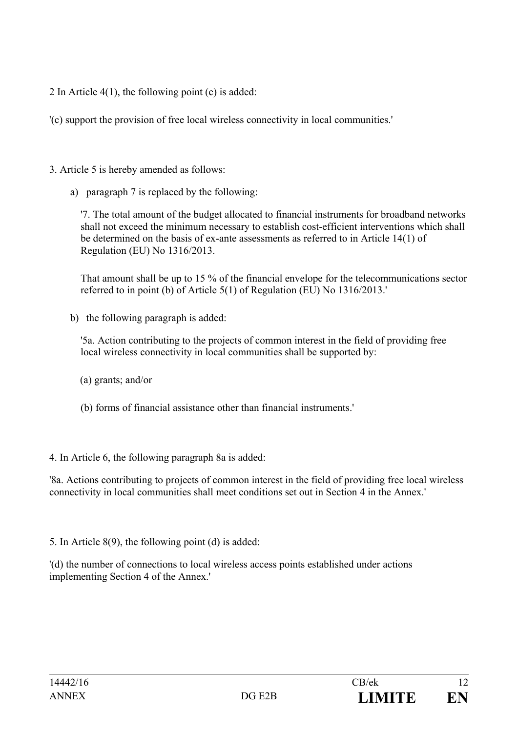2 In Article 4(1), the following point (c) is added:

'(c) support the provision of free local wireless connectivity in local communities.'

- 3. Article 5 is hereby amended as follows:
	- a) paragraph 7 is replaced by the following:

'7. The total amount of the budget allocated to financial instruments for broadband networks shall not exceed the minimum necessary to establish cost-efficient interventions which shall be determined on the basis of ex-ante assessments as referred to in Article 14(1) of Regulation (EU) No 1316/2013.

That amount shall be up to 15 % of the financial envelope for the telecommunications sector referred to in point (b) of Article 5(1) of Regulation (EU) No 1316/2013.'

b) the following paragraph is added:

'5a. Action contributing to the projects of common interest in the field of providing free local wireless connectivity in local communities shall be supported by:

- (a) grants; and/or
- (b) forms of financial assistance other than financial instruments.'

## 4. In Article 6, the following paragraph 8a is added:

'8a. Actions contributing to projects of common interest in the field of providing free local wireless connectivity in local communities shall meet conditions set out in Section 4 in the Annex.'

5. In Article 8(9), the following point (d) is added:

'(d) the number of connections to local wireless access points established under actions implementing Section 4 of the Annex.'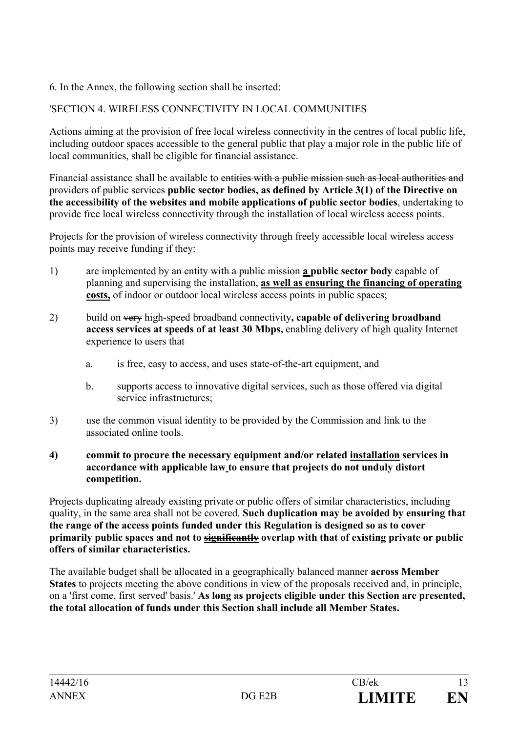## 6. In the Annex, the following section shall be inserted:

# 'SECTION 4. WIRELESS CONNECTIVITY IN LOCAL COMMUNITIES

Actions aiming at the provision of free local wireless connectivity in the centres of local public life, including outdoor spaces accessible to the general public that play a major role in the public life of local communities, shall be eligible for financial assistance.

Financial assistance shall be available to entities with a public mission such as local authorities and providers of public services **public sector bodies, as defined by Article 3(1) of the Directive on the accessibility of the websites and mobile applications of public sector bodies**, undertaking to provide free local wireless connectivity through the installation of local wireless access points.

Projects for the provision of wireless connectivity through freely accessible local wireless access points may receive funding if they:

- 1) are implemented by an entity with a public mission **a public sector body** capable of planning and supervising the installation, **as well as ensuring the financing of operating costs,** of indoor or outdoor local wireless access points in public spaces;
- 2) build on very high-speed broadband connectivity**, capable of delivering broadband access services at speeds of at least 30 Mbps,** enabling delivery of high quality Internet experience to users that
	- a. is free, easy to access, and uses state-of-the-art equipment, and
	- b. supports access to innovative digital services, such as those offered via digital service infrastructures;
- 3) use the common visual identity to be provided by the Commission and link to the associated online tools.

### **4) commit to procure the necessary equipment and/or related installation services in accordance with applicable law to ensure that projects do not unduly distort competition.**

Projects duplicating already existing private or public offers of similar characteristics, including quality, in the same area shall not be covered. **Such duplication may be avoided by ensuring that the range of the access points funded under this Regulation is designed so as to cover primarily public spaces and not to significantly overlap with that of existing private or public offers of similar characteristics.**

The available budget shall be allocated in a geographically balanced manner **across Member States** to projects meeting the above conditions in view of the proposals received and, in principle, on a 'first come, first served' basis.' **As long as projects eligible under this Section are presented, the total allocation of funds under this Section shall include all Member States.**